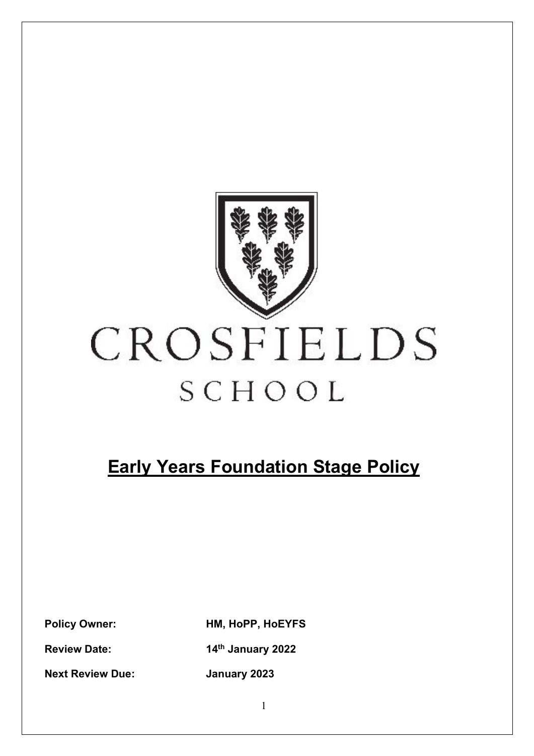

# CROSFIELDS SCHOOL

# **Early Years Foundation Stage Policy**

**Policy Owner: HM, HoPP, HoEYFS**

**Review Date: 14th January 2022**

**Next Review Due: January 2023**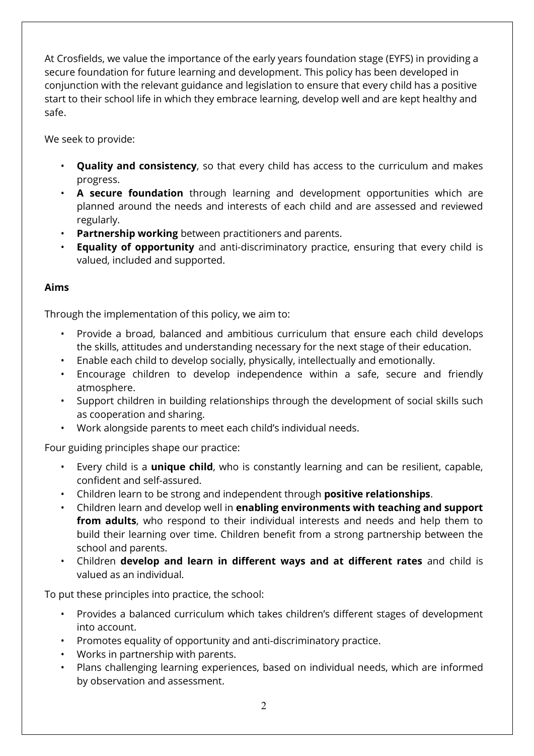At Crosfields, we value the importance of the early years foundation stage (EYFS) in providing a secure foundation for future learning and development. This policy has been developed in conjunction with the relevant guidance and legislation to ensure that every child has a positive start to their school life in which they embrace learning, develop well and are kept healthy and safe.

We seek to provide:

- **Quality and consistency**, so that every child has access to the curriculum and makes progress.
- **A secure foundation** through learning and development opportunities which are planned around the needs and interests of each child and are assessed and reviewed regularly.
- **Partnership working** between practitioners and parents.
- **Equality of opportunity** and anti-discriminatory practice, ensuring that every child is valued, included and supported.

# **Aims**

Through the implementation of this policy, we aim to:

- Provide a broad, balanced and ambitious curriculum that ensure each child develops the skills, attitudes and understanding necessary for the next stage of their education.
- Enable each child to develop socially, physically, intellectually and emotionally.
- Encourage children to develop independence within a safe, secure and friendly atmosphere.
- Support children in building relationships through the development of social skills such as cooperation and sharing.
- Work alongside parents to meet each child's individual needs.

Four guiding principles shape our practice:

- Every child is a **unique child**, who is constantly learning and can be resilient, capable, confident and self-assured.
- Children learn to be strong and independent through **positive relationships**.
- Children learn and develop well in **enabling environments with teaching and support from adults**, who respond to their individual interests and needs and help them to build their learning over time. Children benefit from a strong partnership between the school and parents.
- Children **develop and learn in different ways and at different rates** and child is valued as an individual.

To put these principles into practice, the school:

- Provides a balanced curriculum which takes children's different stages of development into account.
- Promotes equality of opportunity and anti-discriminatory practice.
- Works in partnership with parents.
- Plans challenging learning experiences, based on individual needs, which are informed by observation and assessment.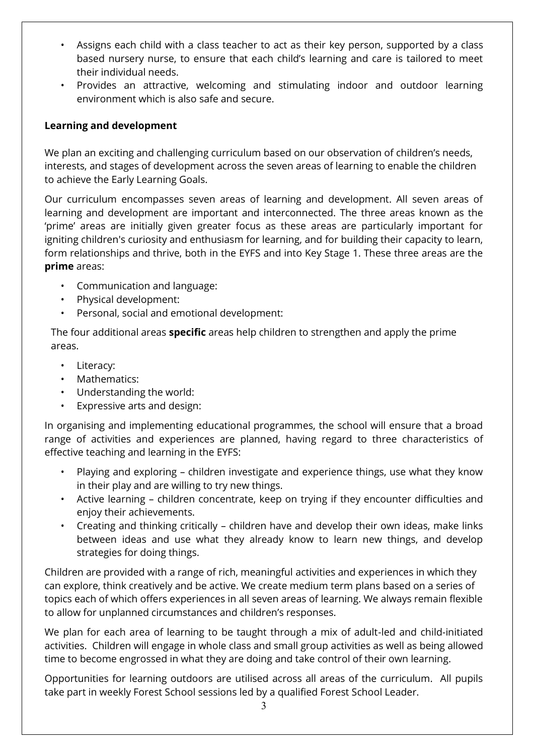- Assigns each child with a class teacher to act as their key person, supported by a class based nursery nurse, to ensure that each child's learning and care is tailored to meet their individual needs.
- Provides an attractive, welcoming and stimulating indoor and outdoor learning environment which is also safe and secure.

### **Learning and development**

We plan an exciting and challenging curriculum based on our observation of children's needs, interests, and stages of development across the seven areas of learning to enable the children to achieve the Early Learning Goals.

Our curriculum encompasses seven areas of learning and development. All seven areas of learning and development are important and interconnected. The three areas known as the 'prime' areas are initially given greater focus as these areas are particularly important for igniting children's curiosity and enthusiasm for learning, and for building their capacity to learn, form relationships and thrive, both in the EYFS and into Key Stage 1. These three areas are the **prime** areas:

- Communication and language:
- Physical development:
- Personal, social and emotional development:

The four additional areas **specific** areas help children to strengthen and apply the prime areas.

- Literacy:
- Mathematics:
- Understanding the world:
- Expressive arts and design:

In organising and implementing educational programmes, the school will ensure that a broad range of activities and experiences are planned, having regard to three characteristics of effective teaching and learning in the EYFS:

- Playing and exploring children investigate and experience things, use what they know in their play and are willing to try new things.
- Active learning children concentrate, keep on trying if they encounter difficulties and enjoy their achievements.
- Creating and thinking critically children have and develop their own ideas, make links between ideas and use what they already know to learn new things, and develop strategies for doing things.

Children are provided with a range of rich, meaningful activities and experiences in which they can explore, think creatively and be active. We create medium term plans based on a series of topics each of which offers experiences in all seven areas of learning. We always remain flexible to allow for unplanned circumstances and children's responses.

We plan for each area of learning to be taught through a mix of adult-led and child-initiated activities. Children will engage in whole class and small group activities as well as being allowed time to become engrossed in what they are doing and take control of their own learning.

Opportunities for learning outdoors are utilised across all areas of the curriculum. All pupils take part in weekly Forest School sessions led by a qualified Forest School Leader.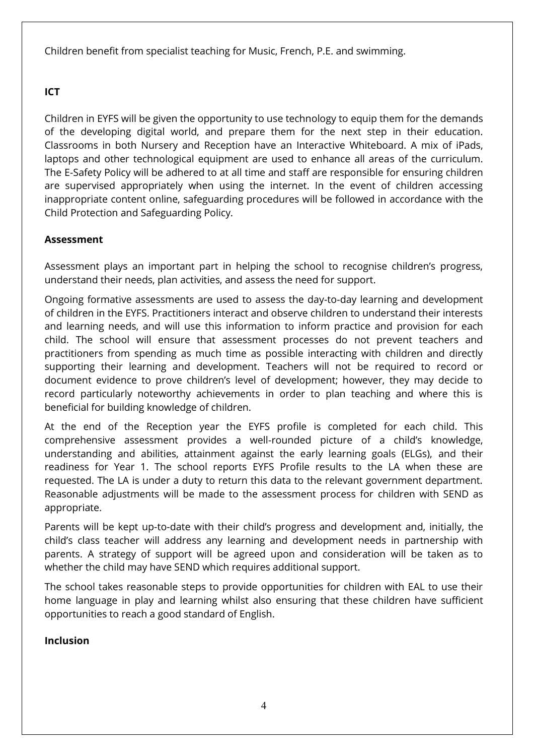Children benefit from specialist teaching for Music, French, P.E. and swimming.

### **ICT**

Children in EYFS will be given the opportunity to use technology to equip them for the demands of the developing digital world, and prepare them for the next step in their education. Classrooms in both Nursery and Reception have an Interactive Whiteboard. A mix of iPads, laptops and other technological equipment are used to enhance all areas of the curriculum. The E-Safety Policy will be adhered to at all time and staff are responsible for ensuring children are supervised appropriately when using the internet. In the event of children accessing inappropriate content online, safeguarding procedures will be followed in accordance with the Child Protection and Safeguarding Policy.

# **Assessment**

Assessment plays an important part in helping the school to recognise children's progress, understand their needs, plan activities, and assess the need for support.

Ongoing formative assessments are used to assess the day-to-day learning and development of children in the EYFS. Practitioners interact and observe children to understand their interests and learning needs, and will use this information to inform practice and provision for each child. The school will ensure that assessment processes do not prevent teachers and practitioners from spending as much time as possible interacting with children and directly supporting their learning and development. Teachers will not be required to record or document evidence to prove children's level of development; however, they may decide to record particularly noteworthy achievements in order to plan teaching and where this is beneficial for building knowledge of children.

At the end of the Reception year the EYFS profile is completed for each child. This comprehensive assessment provides a well-rounded picture of a child's knowledge, understanding and abilities, attainment against the early learning goals (ELGs), and their readiness for Year 1. The school reports EYFS Profile results to the LA when these are requested. The LA is under a duty to return this data to the relevant government department. Reasonable adjustments will be made to the assessment process for children with SEND as appropriate.

Parents will be kept up-to-date with their child's progress and development and, initially, the child's class teacher will address any learning and development needs in partnership with parents. A strategy of support will be agreed upon and consideration will be taken as to whether the child may have SEND which requires additional support.

The school takes reasonable steps to provide opportunities for children with EAL to use their home language in play and learning whilst also ensuring that these children have sufficient opportunities to reach a good standard of English.

#### **Inclusion**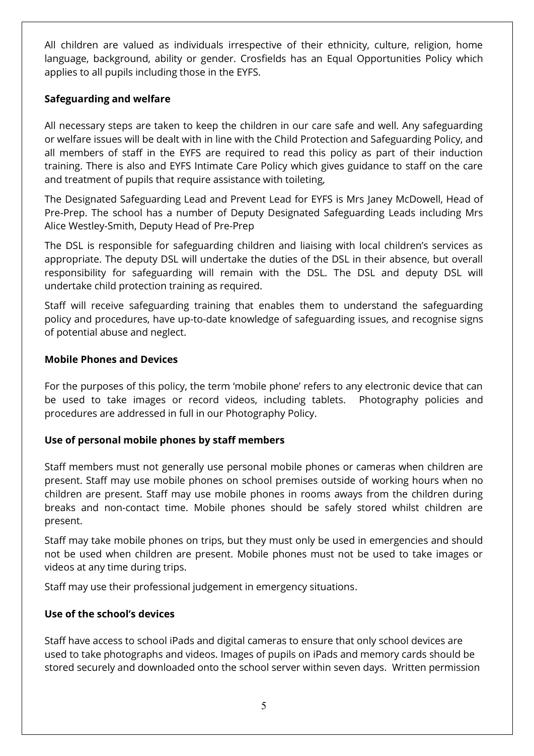All children are valued as individuals irrespective of their ethnicity, culture, religion, home language, background, ability or gender. Crosfields has an Equal Opportunities Policy which applies to all pupils including those in the EYFS.

# **Safeguarding and welfare**

All necessary steps are taken to keep the children in our care safe and well. Any safeguarding or welfare issues will be dealt with in line with the Child Protection and Safeguarding Policy, and all members of staff in the EYFS are required to read this policy as part of their induction training. There is also and EYFS Intimate Care Policy which gives guidance to staff on the care and treatment of pupils that require assistance with toileting,

The Designated Safeguarding Lead and Prevent Lead for EYFS is Mrs Janey McDowell, Head of Pre-Prep. The school has a number of Deputy Designated Safeguarding Leads including Mrs Alice Westley-Smith, Deputy Head of Pre-Prep

The DSL is responsible for safeguarding children and liaising with local children's services as appropriate. The deputy DSL will undertake the duties of the DSL in their absence, but overall responsibility for safeguarding will remain with the DSL. The DSL and deputy DSL will undertake child protection training as required.

Staff will receive safeguarding training that enables them to understand the safeguarding policy and procedures, have up-to-date knowledge of safeguarding issues, and recognise signs of potential abuse and neglect.

#### **Mobile Phones and Devices**

For the purposes of this policy, the term 'mobile phone' refers to any electronic device that can be used to take images or record videos, including tablets. Photography policies and procedures are addressed in full in our Photography Policy.

# **Use of personal mobile phones by staff members**

Staff members must not generally use personal mobile phones or cameras when children are present. Staff may use mobile phones on school premises outside of working hours when no children are present. Staff may use mobile phones in rooms aways from the children during breaks and non-contact time. Mobile phones should be safely stored whilst children are present.

Staff may take mobile phones on trips, but they must only be used in emergencies and should not be used when children are present. Mobile phones must not be used to take images or videos at any time during trips.

Staff may use their professional judgement in emergency situations.

# **Use of the school's devices**

Staff have access to school iPads and digital cameras to ensure that only school devices are used to take photographs and videos. Images of pupils on iPads and memory cards should be stored securely and downloaded onto the school server within seven days. Written permission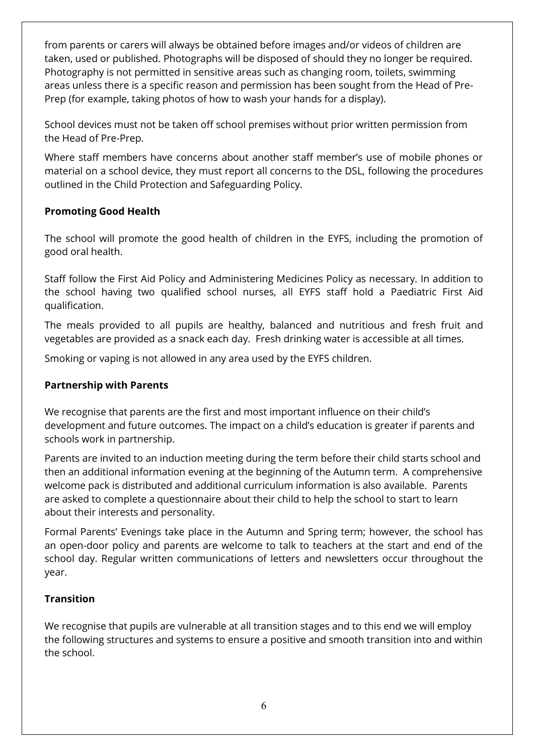from parents or carers will always be obtained before images and/or videos of children are taken, used or published. Photographs will be disposed of should they no longer be required. Photography is not permitted in sensitive areas such as changing room, toilets, swimming areas unless there is a specific reason and permission has been sought from the Head of Pre-Prep (for example, taking photos of how to wash your hands for a display).

School devices must not be taken off school premises without prior written permission from the Head of Pre-Prep.

Where staff members have concerns about another staff member's use of mobile phones or material on a school device, they must report all concerns to the DSL, following the procedures outlined in the Child Protection and Safeguarding Policy.

# **Promoting Good Health**

The school will promote the good health of children in the EYFS, including the promotion of good oral health.

Staff follow the First Aid Policy and Administering Medicines Policy as necessary. In addition to the school having two qualified school nurses, all EYFS staff hold a Paediatric First Aid qualification.

The meals provided to all pupils are healthy, balanced and nutritious and fresh fruit and vegetables are provided as a snack each day. Fresh drinking water is accessible at all times.

Smoking or vaping is not allowed in any area used by the EYFS children.

#### **Partnership with Parents**

We recognise that parents are the first and most important influence on their child's development and future outcomes. The impact on a child's education is greater if parents and schools work in partnership.

Parents are invited to an induction meeting during the term before their child starts school and then an additional information evening at the beginning of the Autumn term. A comprehensive welcome pack is distributed and additional curriculum information is also available. Parents are asked to complete a questionnaire about their child to help the school to start to learn about their interests and personality.

Formal Parents' Evenings take place in the Autumn and Spring term; however, the school has an open-door policy and parents are welcome to talk to teachers at the start and end of the school day. Regular written communications of letters and newsletters occur throughout the year.

#### **Transition**

We recognise that pupils are vulnerable at all transition stages and to this end we will employ the following structures and systems to ensure a positive and smooth transition into and within the school.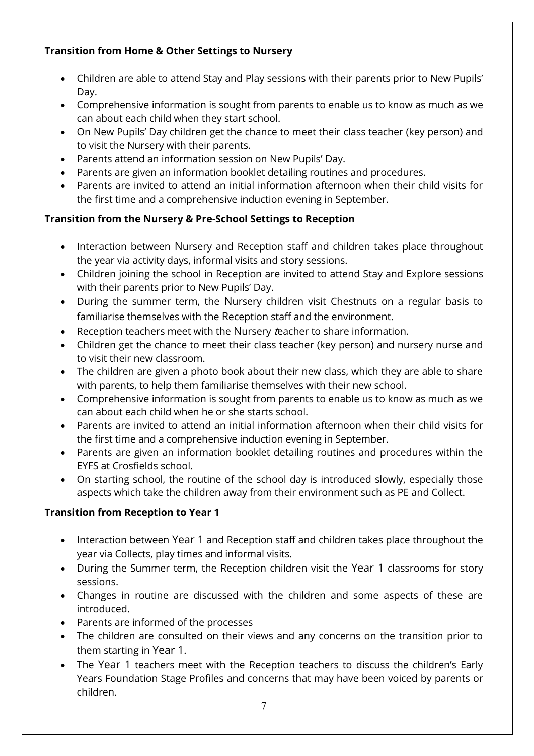# **Transition from Home & Other Settings to Nursery**

- Children are able to attend Stay and Play sessions with their parents prior to New Pupils' Day.
- Comprehensive information is sought from parents to enable us to know as much as we can about each child when they start school.
- On New Pupils' Day children get the chance to meet their class teacher (key person) and to visit the Nursery with their parents.
- Parents attend an information session on New Pupils' Day.
- Parents are given an information booklet detailing routines and procedures.
- Parents are invited to attend an initial information afternoon when their child visits for the first time and a comprehensive induction evening in September.

# **Transition from the Nursery & Pre-School Settings to Reception**

- Interaction between Nursery and Reception staff and children takes place throughout the year via activity days, informal visits and story sessions.
- Children joining the school in Reception are invited to attend Stay and Explore sessions with their parents prior to New Pupils' Day.
- During the summer term, the Nursery children visit Chestnuts on a regular basis to familiarise themselves with the Reception staff and the environment.
- Reception teachers meet with the Nursery teacher to share information.
- Children get the chance to meet their class teacher (key person) and nursery nurse and to visit their new classroom.
- The children are given a photo book about their new class, which they are able to share with parents, to help them familiarise themselves with their new school.
- Comprehensive information is sought from parents to enable us to know as much as we can about each child when he or she starts school.
- Parents are invited to attend an initial information afternoon when their child visits for the first time and a comprehensive induction evening in September.
- Parents are given an information booklet detailing routines and procedures within the EYFS at Crosfields school.
- On starting school, the routine of the school day is introduced slowly, especially those aspects which take the children away from their environment such as PE and Collect.

# **Transition from Reception to Year 1**

- Interaction between Year 1 and Reception staff and children takes place throughout the year via Collects, play times and informal visits.
- During the Summer term, the Reception children visit the Year 1 classrooms for story sessions.
- Changes in routine are discussed with the children and some aspects of these are introduced.
- Parents are informed of the processes
- The children are consulted on their views and any concerns on the transition prior to them starting in Year 1.
- The Year 1 teachers meet with the Reception teachers to discuss the children's Early Years Foundation Stage Profiles and concerns that may have been voiced by parents or children.